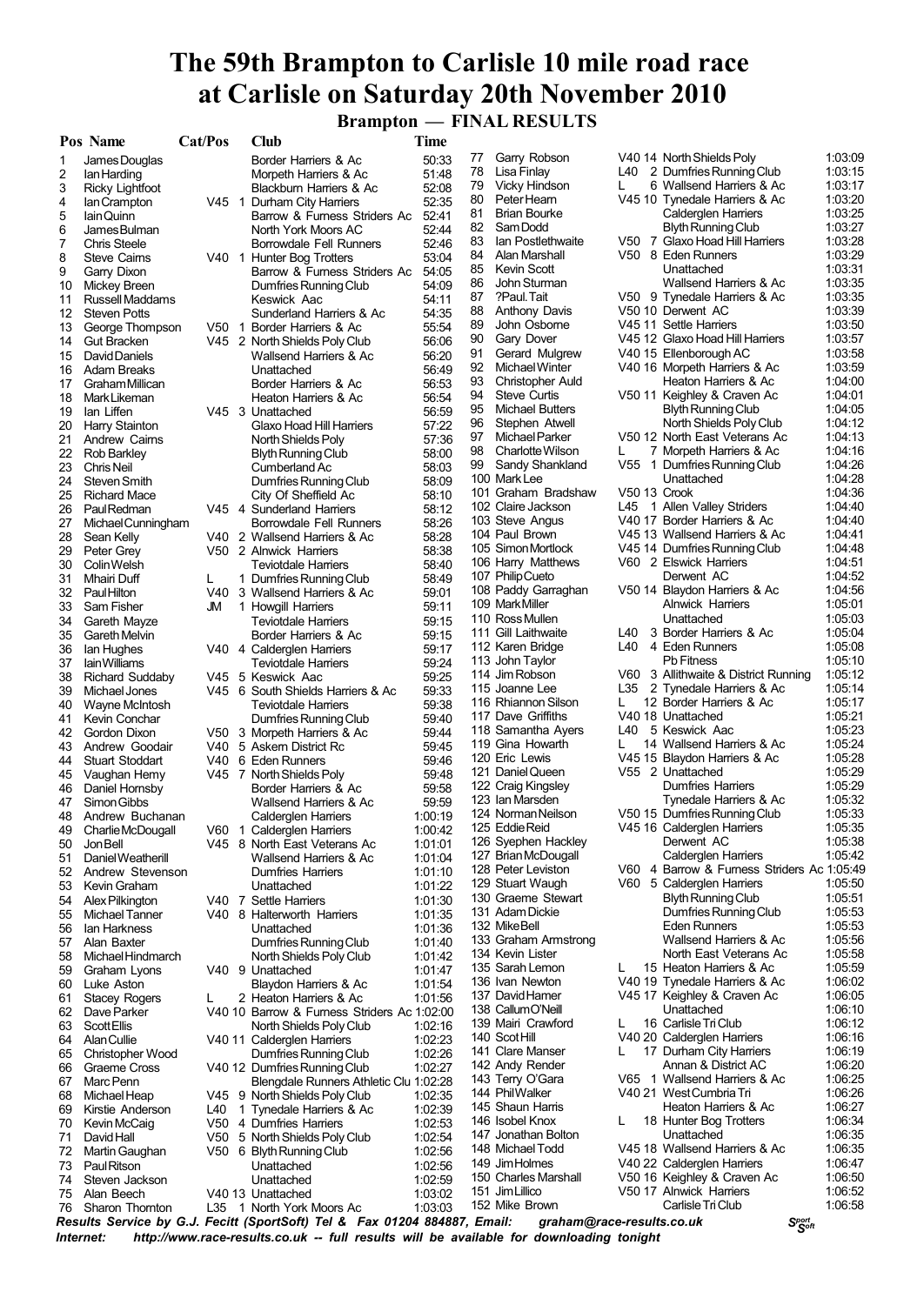## **The 59th Brampton to Carlisle 10 mile road race at Carlisle on Saturday 20th November 2010**

 **Brampton — FINAL RESULTS**

|    | <b>Pos Name</b>        | Cat/Pos | Club                                                                      | Time    |    |                           |              |                                            |         |
|----|------------------------|---------|---------------------------------------------------------------------------|---------|----|---------------------------|--------------|--------------------------------------------|---------|
| 1  | James Douglas          |         | Border Harriers & Ac                                                      | 50:33   | 77 | Garry Robson              |              | V40 14 North Shields Poly                  | 1:03:09 |
| 2  | lan Harding            |         | Morpeth Harriers & Ac                                                     | 51:48   | 78 | Lisa Finlay               |              | L40 2 Dumfries Running Club                | 1:03:15 |
| 3  | Ricky Lightfoot        |         | Blackburn Harriers & Ac                                                   | 52:08   | 79 | Vicky Hindson             | L            | 6 Wallsend Harriers & Ac                   | 1:03:17 |
| 4  | lan Crampton           |         | V45 1 Durham City Harriers                                                | 52:35   | 80 | Peter Hearn               |              | V45 10 Tynedale Harriers & Ac              | 1:03:20 |
| 5  | lain Quinn             |         | Barrow & Furness Striders Ac                                              | 52:41   | 81 | <b>Brian Bourke</b>       |              | <b>Calderglen Harriers</b>                 | 1:03:25 |
| 6  | James Bulman           |         | North York Moors AC                                                       | 52:44   | 82 | Sam Dodd                  |              | <b>Blyth Running Club</b>                  | 1:03:27 |
| 7  | <b>Chris Steele</b>    |         | Borrowdale Fell Runners                                                   | 52:46   | 83 | Ian Postlethwaite         |              | V50 7 Glaxo Hoad Hill Harriers             | 1:03:28 |
| 8  | <b>Steve Caims</b>     |         | V40 1 Hunter Bog Trotters                                                 | 53:04   | 84 | Alan Marshall             |              | V50 8 Eden Runners                         | 1:03:29 |
| 9  | Garry Dixon            |         | Barrow & Furness Striders Ac                                              | 54:05   | 85 | Kevin Scott               |              | Unattached                                 | 1:03:31 |
| 10 | Mickey Breen           |         | Dumfries Running Club                                                     | 54:09   | 86 | John Sturman              |              | Wallsend Harriers & Ac                     | 1:03:35 |
| 11 | <b>Russell Maddams</b> |         | Keswick Aac                                                               | 54:11   | 87 | ?Paul Tait                |              | V50 9 Tynedale Harriers & Ac               | 1:03:35 |
| 12 | <b>Steven Potts</b>    |         | Sunderland Harriers & Ac                                                  | 54:35   | 88 | <b>Anthony Davis</b>      |              | V50 10 Derwent AC                          | 1:03:39 |
| 13 | George Thompson        |         | V50 1 Border Harriers & Ac                                                | 55:54   | 89 | John Osborne              |              | V45 11 Settle Harriers                     | 1:03:50 |
| 14 | <b>Gut Bracken</b>     |         | V45 2 North Shields Poly Club                                             | 56:06   | 90 | Gary Dover                |              | V45 12 Glaxo Hoad Hill Harriers            | 1:03:57 |
| 15 | David Daniels          |         | Wallsend Harriers & Ac                                                    | 56:20   | 91 | Gerard Mulgrew            |              | V40 15 Ellenborough AC                     | 1:03:58 |
| 16 | <b>Adam Breaks</b>     |         | Unattached                                                                | 56:49   | 92 | Michael Winter            |              | V40 16 Morpeth Harriers & Ac               | 1:03:59 |
| 17 | Graham Millican        |         | Border Harriers & Ac                                                      | 56:53   | 93 | Christopher Auld          |              | Heaton Harriers & Ac                       | 1:04:00 |
| 18 | Mark Likeman           |         | Heaton Harriers & Ac                                                      | 56:54   | 94 | Steve Curtis              |              | V50 11 Keighley & Craven Ac                | 1:04:01 |
| 19 | lan Liffen             |         | V45 3 Unattached                                                          | 56:59   | 95 | <b>Michael Butters</b>    |              | <b>Blyth Running Club</b>                  | 1:04:05 |
| 20 | Harry Stainton         |         | Glaxo Hoad Hill Harriers                                                  | 57:22   | 96 | Stephen Atwell            |              | North Shields Poly Club                    | 1:04:12 |
| 21 | Andrew Cairns          |         | North Shields Poly                                                        | 57:36   | 97 | Michael Parker            |              | V50 12 North East Veterans Ac              | 1:04:13 |
| 22 | <b>Rob Barkley</b>     |         | Blyth Running Club                                                        | 58:00   | 98 | Charlotte Wilson          | L            | 7 Morpeth Harriers & Ac                    | 1:04:16 |
| 23 | <b>Chris Neil</b>      |         | Cumberland Ac                                                             | 58:03   | 99 | Sandy Shankland           |              | V55 1 Dumfries Running Club                | 1:04:26 |
| 24 | Steven Smith           |         | Dumfries Running Club                                                     | 58:09   |    | 100 Mark Lee              |              | Unattached                                 | 1:04:28 |
| 25 | <b>Richard Mace</b>    |         | City Of Sheffield Ac                                                      | 58:10   |    | 101 Graham Bradshaw       | V50 13 Crook |                                            | 1:04:36 |
| 26 | Paul Redman            |         | V45 4 Sunderland Harriers                                                 | 58:12   |    | 102 Claire Jackson        | L45          | 1 Allen Valley Striders                    | 1:04:40 |
| 27 | Michael Cunningham     |         | Borrowdale Fell Runners                                                   | 58:26   |    | 103 Steve Angus           |              | V40 17 Border Harriers & Ac                | 1:04:40 |
| 28 | Sean Kelly             |         | V40 2 Wallsend Harriers & Ac                                              | 58:28   |    | 104 Paul Brown            |              | V45 13 Wallsend Harriers & Ac              | 1:04:41 |
| 29 | Peter Grey             |         | V50 2 Alnwick Harriers                                                    | 58:38   |    | 105 Simon Mortlock        |              | V45 14 Dumfries Running Club               | 1:04:48 |
| 30 | Colin Welsh            |         | <b>Teviotdale Harriers</b>                                                | 58:40   |    | 106 Harry Matthews        |              | V60 2 Elswick Harriers                     | 1:04:51 |
| 31 | Mhairi Duff            | L       | 1 Dumfries Running Club                                                   | 58:49   |    | 107 Philip Cueto          |              | Derwent AC                                 | 1:04:52 |
| 32 | PaulHilton             |         | V40 3 Wallsend Harriers & Ac                                              | 59:01   |    | 108 Paddy Garraghan       |              | V50 14 Blaydon Harriers & Ac               | 1:04:56 |
| 33 | Sam Fisher             | JM      | 1 Howgill Harriers                                                        | 59:11   |    | 109 MarkMiller            |              | <b>Alnwick Harriers</b>                    | 1:05:01 |
|    |                        |         |                                                                           |         |    | 110 Ross Mullen           |              | Unattached                                 | 1:05:03 |
| 34 | Gareth Mayze           |         | <b>Teviotdale Harriers</b>                                                | 59:15   |    | 111 Gill Laithwaite       |              | L40 3 Border Harriers & Ac                 | 1:05:04 |
| 35 | Gareth Melvin          |         | Border Harriers & Ac                                                      | 59:15   |    | 112 Karen Bridge          | L40          | 4 Eden Runners                             | 1:05:08 |
| 36 | lan Hughes             |         | V40 4 Calderglen Harriers                                                 | 59:17   |    | 113 John Taylor           |              | <b>Pb Fitness</b>                          | 1:05:10 |
| 37 | lain Williams          |         | <b>Teviotdale Harriers</b>                                                | 59:24   |    | 114 Jim Robson            |              | V60 3 Allithwaite & District Running       | 1:05:12 |
| 38 | <b>Richard Suddaby</b> |         | V45 5 Keswick Aac                                                         | 59:25   |    |                           |              |                                            | 1:05:14 |
| 39 | Michael Jones          |         | V45 6 South Shields Harriers & Ac                                         | 59:33   |    | 115 Joanne Lee            |              | L35 2 Tynedale Harriers & Ac               |         |
| 40 | Wayne McIntosh         |         | <b>Teviotdale Harriers</b>                                                | 59:38   |    | 116 Rhiannon Silson       | L.           | 12 Border Harriers & Ac                    | 1:05:17 |
| 41 | Kevin Conchar          |         | Dumfries Running Club                                                     | 59:40   |    | 117 Dave Griffiths        |              | V40 18 Unattached                          | 1:05:21 |
| 42 | Gordon Dixon           |         | V50 3 Morpeth Harriers & Ac                                               | 59:44   |    | 118 Samantha Ayers        | L40          | 5 Keswick Aac                              | 1:05:23 |
| 43 | Andrew Goodair         |         | V40 5 Askern District Rc                                                  | 59:45   |    | 119 Gina Howarth          | L.           | 14 Wallsend Harriers & Ac                  | 1:05:24 |
| 44 | <b>Stuart Stoddart</b> |         | V40 6 Eden Runners                                                        | 59:46   |    | 120 Eric Lewis            |              | V45 15 Blaydon Harriers & Ac               | 1:05:28 |
| 45 | Vaughan Hemy           |         | V45 7 North Shields Poly                                                  | 59:48   |    | 121 Daniel Queen          |              | V55 2 Unattached                           | 1:05:29 |
| 46 | Daniel Hornsby         |         | Border Harriers & Ac                                                      | 59:58   |    | 122 Craig Kingsley        |              | <b>Dumfries Harriers</b>                   | 1:05:29 |
| 47 | Simon Gibbs            |         | Wallsend Harriers & Ac                                                    | 59:59   |    | 123 Ian Marsden           |              | Tynedale Harriers & Ac                     | 1:05:32 |
| 48 | Andrew Buchanan        |         | Calderglen Harriers                                                       | 1:00:19 |    | 124 Norman Neilson        |              | V50 15 Dumfries Running Club               | 1:05:33 |
| 49 | Charlie McDougall      |         | V60 1 Calderglen Harriers                                                 | 1:00:42 |    | 125 Eddie Reid            |              | V45 16 Calderglen Harriers                 | 1:05:35 |
| 50 | Jon Bell               |         | V45 8 North East Veterans Ac                                              | 1:01:01 |    | 126 Syephen Hackley       |              | Derwent AC                                 | 1:05:38 |
| 51 | Daniel Weatherill      |         | Wallsend Harriers & Ac                                                    | 1:01:04 |    | 127 Brian McDougall       |              | <b>Calderglen Harriers</b>                 | 1:05:42 |
| 52 | Andrew Stevenson       |         | <b>Dumfries Harriers</b>                                                  | 1:01:10 |    | 128 Peter Leviston        |              | V60 4 Barrow & Furness Striders Ac 1:05:49 |         |
| 53 | Kevin Graham           |         | Unattached                                                                | 1:01:22 |    | 129 Stuart Waugh          |              | V60 5 Calderglen Harriers                  | 1:05:50 |
| 54 | Alex Pilkington        |         | V40 7 Settle Harriers                                                     | 1:01:30 |    | 130 Graeme Stewart        |              | <b>Blyth Running Club</b>                  | 1:05:51 |
| 55 | Michael Tanner         |         | V40 8 Halterworth Harriers                                                | 1:01:35 |    | 131 Adam Dickie           |              | Dumfries Running Club                      | 1:05:53 |
| 56 | lan Harkness           |         | Unattached                                                                | 1:01:36 |    | 132 Mike Bell             |              | Eden Runners                               | 1:05:53 |
| 57 | Alan Baxter            |         | Dumfries Running Club                                                     | 1:01:40 |    | 133 Graham Armstrong      |              | Wallsend Harriers & Ac                     | 1:05:56 |
| 58 | Michael Hindmarch      |         | North Shields Poly Club                                                   | 1:01:42 |    | 134 Kevin Lister          |              | North East Veterans Ac                     | 1:05:58 |
| 59 | Graham Lyons           |         | V40 9 Unattached                                                          | 1:01:47 |    | 135 Sarah Lemon           | L.           | 15 Heaton Harriers & Ac                    | 1:05:59 |
| 60 | Luke Aston             |         | Blaydon Harriers & Ac                                                     | 1:01:54 |    | 136 Ivan Newton           |              | V40 19 Tynedale Harriers & Ac              | 1:06:02 |
| 61 | <b>Stacey Rogers</b>   | L       | 2 Heaton Harriers & Ac                                                    | 1:01:56 |    | 137 David Hamer           |              | V45 17 Keighley & Craven Ac                | 1:06:05 |
| 62 | Dave Parker            |         | V40 10 Barrow & Furness Striders Ac 1:02:00                               |         |    | 138 CallumO'Neill         |              | Unattached                                 | 1:06:10 |
| 63 | <b>Scott Ellis</b>     |         | North Shields Poly Club                                                   | 1:02:16 |    | 139 Mairi Crawford        | L.           | 16 Carlisle Tri Club                       | 1:06:12 |
| 64 | Alan Cullie            |         | V40 11 Calderglen Harriers                                                | 1:02:23 |    | 140 ScotHill              |              | V40 20 Calderglen Harriers                 | 1:06:16 |
| 65 | Christopher Wood       |         | Dumfries Running Club                                                     | 1:02:26 |    | 141 Clare Manser          | L.           | 17 Durham City Harriers                    | 1:06:19 |
| 66 | Graeme Cross           |         | V40 12 Dumfries Running Club                                              | 1:02:27 |    | 142 Andy Render           |              | Annan & District AC                        | 1:06:20 |
| 67 | Marc Penn              |         | Blengdale Runners Athletic Clu 1:02:28                                    |         |    | 143 Terry O'Gara          |              | V65 1 Wallsend Harriers & Ac               | 1:06:25 |
| 68 | Michael Heap           |         | V45 9 North Shields Poly Club                                             | 1:02:35 |    | 144 PhilWalker            |              | V40 21 West Cumbria Tri                    | 1:06:26 |
| 69 | Kirstie Anderson       | L40     | 1 Tynedale Harriers & Ac                                                  | 1:02:39 |    | 145 Shaun Harris          |              | Heaton Harriers & Ac                       | 1:06:27 |
| 70 | Kevin McCaig           |         | V50 4 Dumfries Harriers                                                   | 1:02:53 |    | 146 Isobel Knox           | L.           | 18 Hunter Bog Trotters                     | 1:06:34 |
| 71 | David Hall             |         | V50 5 North Shields Poly Club                                             | 1:02:54 |    | 147 Jonathan Bolton       |              | Unattached                                 | 1:06:35 |
| 72 | Martin Gaughan         |         | V50 6 Blyth Running Club                                                  | 1:02:56 |    | 148 Michael Todd          |              | V45 18 Wallsend Harriers & Ac              | 1:06:35 |
| 73 | <b>PaulRitson</b>      |         | Unattached                                                                | 1:02:56 |    | 149 Jim Holmes            |              | V40 22 Calderglen Harriers                 | 1:06:47 |
| 74 | Steven Jackson         |         | Unattached                                                                | 1:02:59 |    | 150 Charles Marshall      |              | V50 16 Keighley & Craven Ac                | 1:06:50 |
| 75 | Alan Beech             |         | V40 13 Unattached                                                         | 1:03:02 |    | 151 Jim Lillico           |              | V50 17 Alnwick Harriers                    | 1:06:52 |
| 76 | Sharon Thornton        |         | L35 1 North York Moors Ac                                                 | 1:03:03 |    | 152 Mike Brown            |              | Carlisle Tri Club                          | 1:06:58 |
|    |                        |         | Posulte Service by C. I. Fecitt (SportSoft) Tel & Fay 01204 884887 Email: |         |    | araham@raco-roculte co uk |              | Cport                                      |         |

Results Service by G.J. Fecitt (SportSoft) Tel & Fax 01204 884887, Email: graham@race-results.co.uk S<sup>oon</sup><br>Internet: http://www.race-results.co.uk -- full results will be available for downloading tonight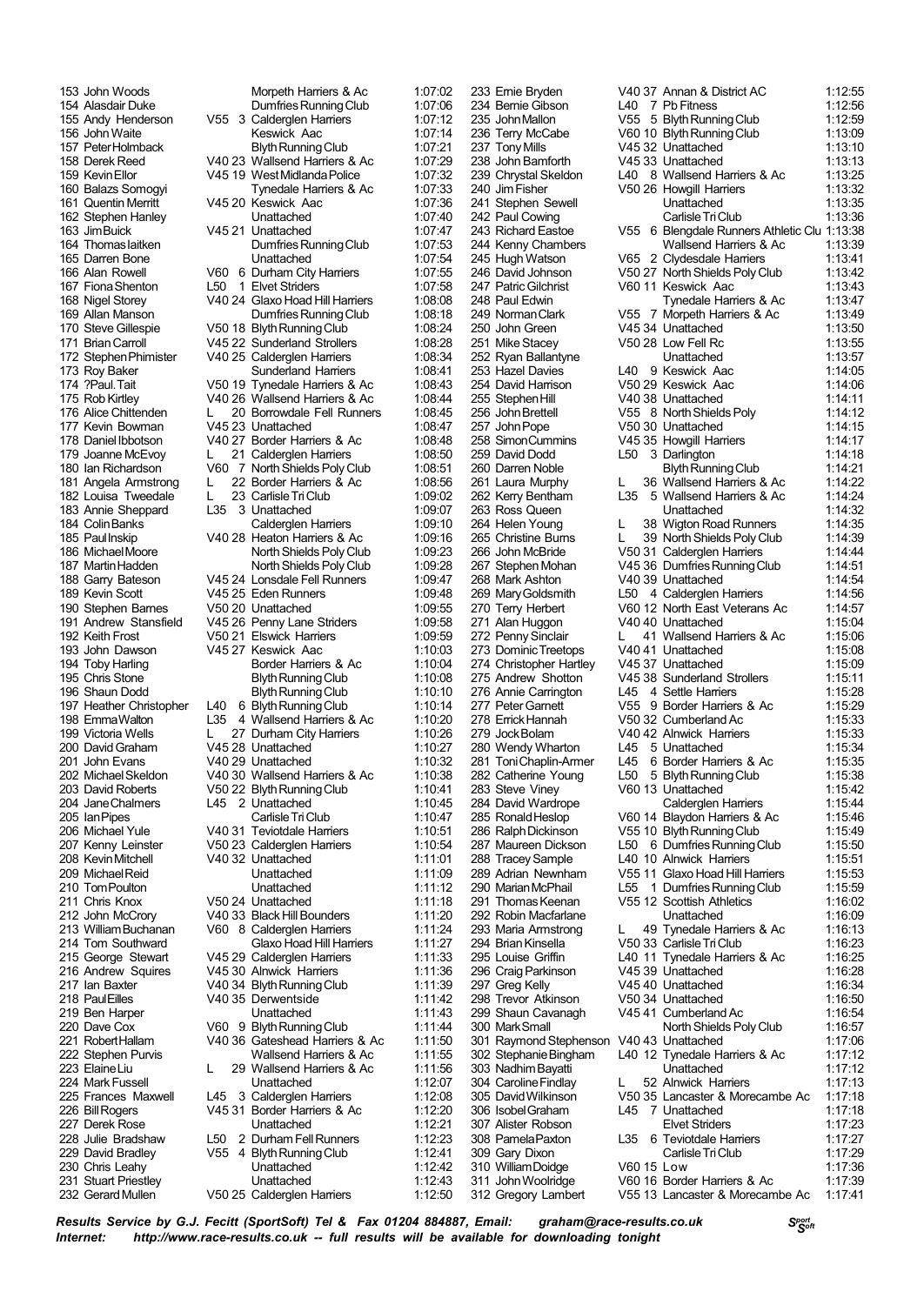165 Darren Bone 183 Annie Sheppard L35 190 Stephen Barnes<br>191 Andrew Stansfield 230 Chris Leahy 231 Stuart Priestley Unattached 1:12:43 232 Gerard Mullen V50 25 Calderglen Harriers 1:12:50

153 John Woods Morpeth Harriers & Ac 1:07:02 154 Alasdair Duke **Dumfries Running Club** 1:07:06<br>155 Andy Henderson V55 3 Calderglen Harriers 1:07:12 V55 3 Calderglen Harriers 1:07:12<br>Keswick Age 156 John Waite **Keswick Aac 1:07:14**<br>157 Peter Holmback **Rivin Running Club** 1:07:21 157 PeterHolmback Blyth Running Club 1:07:21<br>158 Derek Reed V40 23 Wallsend Harriers & Ac 1:07:29 158 Derek Reed V40 23 Wallsend Harriers & Ac 1:07:29 159 KevinEllor V45 19 WestMidlandaPolice 1:07:32 Tynedale Harriers & Ac 161 Quentin Merritt V45 20 Keswick Aac 1:07:36<br>162 Stephen Hanley (Inattached 1:07:40) 162 Stephen Hanley Unattached 1:07:40<br>163 Jim Buick V45 21 Unattached 1:07:47 163 JimBuick V45 21 Unattached 1:07:47 **Dumfries Running Club** 1:07:53<br>
I Inattached 1:07:54 166 Alan Rowell V60 6 Durham City Harriers 1:07:55<br>167 Fiona Shenton L50 1 Elvet Striders 1:07:58 167 Fiona Shenton L50 1 Elvet Striders 1:07:58<br>168 Nigel Storev V40 24 Glaxo Hoad Hill Harriers 1:08:08 168 Nigel Storey V40 24 Glaxo Hoad Hill Harriers 1:08:08 169 Allan Manson DumfriesRunningClub 1:08:18 170 Steve Gillespie 1950 18 Blyth Running Club 1:08:24<br>171 Brian Carroll 1:08:28 Nunderland Strollers 1:08:28 171 BrianCarroll V45 22 Sunderland Strollers 1:08:28 172 Stephen Phimister V40 25 Calderglen Harriers 1:08:34<br>173 Rov Baker Sunderland Harriers 1:08:41 173 Roy Baker Sunderland Harriers 1:08:41<br>174 Paul Tait 1750 19 Tynedale Harriers & Ac 1:08:43 174 ?Paul.Tait V50 19 Tynedale Harriers & Ac 1:08:43 175 RobKirtley V40 26 Wallsend Harriers & Ac 1:08:44 176 Alice Chittenden L 20 Borrowdale Fell Runners 1:08:45<br>177 Kevin Bowman V45 23 Unattached 1:08:47 V45 23 Unattached 178 Daniel Ibbotson V40 27 Border Harriers & Ac 1:08:48 179 Joanne McEvoy L 21 Calderglen Harriers 1:08:50 180 Ian Richardson V60 7 NorthShields PolyClub 1:08:51 181 Angela Armstrong L 22 Border Harriers & Ac 1:08:56<br>182 Louisa Tweedale L 23 Carlisle Tri Club 1:09:02 182 Louisa Tweedale L 23 Carlisle Tri Club 1:09:02<br>183 Annie Shennard L35 3 Unattached 1:09:07 184 Colin Banks Calderglen Harriers 1:09:10 185 PaulInskip V40 28 Heaton Harriers & Ac 1:09:16 186 MichaelMoore NorthShields PolyClub 1:09:23 North Shields Poly Club 188 Garry Bateson V45 24 Lonsdale Fell Runners 1:09:47 189 Kevin Scott V45 25 Eden Runners 1:09:48 191 Andrew Stansfield V45 26 Penny Lane Striders 1:09:58<br>192 Keith Frost 1:09:59 V50 21 Elswick Harriers 1:09:59 V50 21 Elswick Harriers 193 John Dawson V45 27 Keswick Aac 1:10:03 194 Toby Harling **194 Toby Harling Border Harriers & Ac** 1:10:04<br>195 Chris Stone **Blyth Running Club** 1:10:08 195 Chris Stone **Chris Christian Blyth Running Club** 1:10:08<br>196 Shaun Dodd **1:10:10**<br>Blyth Running Club 1:10:10 196 Shaun Dodd Blyth Running Club<br>197 Heather Christopher L40 6 Blyth Running Club L40 6 Blyth Running Club 1:10:14 198 EmmaWalton L35 4 Wallsend Harriers & Ac 1:10:20 199 Victoria Wells L 27 Durham City Harriers 1:10:26<br>200 David Graham V45 28 Unattached 1:10:27 200 DavidGraham V45 28 Unattached 1:10:27 201 John Evans V40 29 Unattached 1:10:32 V40 30 Wallsend Harriers & Ac 203 David Roberts V50 22 Blyth Running Club 1:10:41 204 Jane Chalmers L45 2 Unattached 1:10:45<br>205 Ian Pipes Carlisle Tri Club 1:10:47 205 IanPipes CarlisleTriClub 1:10:47 206 Michael Yule V40 31 Teviotdale Harriers 1:10:51 V50 23 Calderglen Harriers 208 KevinMitchell V40 32 Unattached 1:11:01 209 MichaelReid Unattached 1:11:09 210 TomPoulton Unattached 1:11:12 V50 24 Unattached 212 John McCrory V40 33 Black Hill Bounders 1:11:20 213 WilliamBuchanan V60 8 Calderglen Harriers 1:11:24 Glaxo Hoad Hill Harriers 215 George Stewart V45 29 Calderglen Harriers 1:11:33<br>216 Andrew Squires V45 30 Alnwick Harriers 1:11:36 V45 30 Alnwick Harriers 1:11:36 217 Ian Baxter V40 34 Blyth Running Club 1:11:39 218 PaulEilles V40 35 Derwentside 1:11:42 219 Ben Harper Unattached 1:11:43 V60 9 Blyth Running Club 221 RobertHallam V40 36 Gateshead Harriers & Ac 1:11:50 222 Stephen Purvis Wallsend Harriers & Ac 223 Elaine Liu L 29 Wallsend Harriers & Ac 1:11:56<br>224 Mark Fussell Consumer L Duattached 1:12:07 224 MarkFussell Unattached 1:12:07 3 Calderglen Harriers 226 BillRogers V45 31 Border Harriers & Ac 1:12:20 227 Derek Rose Unattached 1:12:21 228 Julie Bradshaw L50 2 Durham Fell Runners 1:12:23 229 David Bradley V55 4 BlythRunningClub 1:12:41

242 Paul Cowing<br>243 Richard Eastoe 254 David Harrison V50 29 Keswick Aac<br>255 Stephen Hill V40 38 Unattached 276 Annie Carrington L45 4 Settle Harriers<br>277 Peter Garnett V55 9 Border Harriers 310 William Doidge 312 Gregory Lambert V55 13 Lancaster & Morecambe Ac 1:17:41

233 Ernie Bryden V40 37 Annan & District AC 1:12:55 234 Bernie Gibson L40 7 Pb Fitness 1:12:56 235 JohnMallon V55 5 BlythRunningClub 1:12:59 236 Terry McCabe V60 10 BlythRunningClub 1:13:09 237 TonyMills V45 32 Unattached 1:13:10 238 John Bamforth V45 33 Unattached 1:13:13<br>239 Chrystal Skeldon L40 8 Wallsend Harriers & Ac 1:13:25 239 Chrystal Skeldon L40 8 Wallsend Harriers & Ac<br>240 Jim Fisher V50 26 Howgill Harriers 240 JimFisher V50 26 Howgill Harriers 1:13:32 241 Stephen Sewell Unattached 1:13:35 243 Richard Eastoe V55 6 Blengdale Runners Athletic Clu 1:13:38 244 Kenny Chambers Wallsend Harriers & Ac 1:13:39 245 Hugh Watson V65 2 Clydesdale Harriers<br>246 David Johnson V50 27 North Shields Poly Cl 246 David Johnson V50 27 NorthShields PolyClub 1:13:42 247 Patric Gilchrist V60 11 Keswick Aac 1:13:43 248 Paul Edwin Tynedale Harriers & Ac 1:13:47 249 NormanClark V55 7 Morpeth Harriers & Ac 1:13:49 250 John Green V45 34 Unattached 1:13:50<br>250 John Green V45 34 Unattached 1:13:50<br>251 Mike Stacev V50 28 I ow Fell Rc 1:13:55 250 V50 28 Low Fell Rc 1:13:55<br>113:57 Unattached 1:13:57 252 Ryan Ballantyne Unattached 1:13:57 253 Hazel Davies L40 9 Keswick Aac 1:14:05 255 StephenHill V40 38 Unattached 1:14:11 256 JohnBrettell V55 8 NorthShieldsPoly 1:14:12 V50 30 Unattached 258 Simon Cummins V45 35 Howgill Harriers 1:14:17 259 David Dodd L50 3 Darlington 1:14:18 260 Darren Noble Blyth Running Club 1:14:21 261 Laura Murphy L 36 Wallsend Harriers & Ac 1:14:22 5 Wallsend Harriers & Ac Unattached 263 Ross Queen Unattached 1:14:32 L 38 Wigton Road Runners 1:14:35 265 Christine Burns L 39 North Shields Poly Club 1:14:39 266 John McBride V50 31 Calderglen Harriers 1:14:44 V45 36 Dumfries Running Club 268 Mark Ashton V40 39 Unattached 1:14:54 269 MaryGoldsmith L50 4 Calderglen Harriers 1:14:56<br>270 Terry Herbert V60 12 North East Veterans Ac 1:14:57 V60 12 North East Veterans Ac 271 Alan Huggon V40 40 Unattached 1:15:04 L 41 Wallsend Harriers & Ac 1:15:06<br>V40 41 Unattached 1:15:08 273 Dominic Treetops V40 41 Unattached 1:15:08 274 Christopher Hartley V45 37 Unattached 1:15:09<br>275 Andrew Shotton V45 38 Sunderland Strollers 1:15:11 275 Andrew Shotton V45 38 Sunderland Strollers 1:15:11 V55 9 Border Harriers & Ac 1:15:29 278 Errick Hannah V50 32 Cumberland Ac 1:15:33 279 JockBolam V40 42 Alnwick Harriers 1:15:33 280 Wendy Wharton L45 5 Unattached 1:15:34<br>281 Toni Chaplin-Armer L45 6 Border Harriers & Ac 1:15:35 281 Toni Chaplin-Armer L45 6 Border Harriers & Ac<br>282 Catherine Young L50 5 Blyth Running Club 5 Blyth Running Club 1:15:38 283 Steve Viney V60 13 Unattached 1:15:42 284 David Wardrope Calderglen Harriers 1:15:44 285 RonaldHeslop V60 14 Blaydon Harriers & Ac 1:15:46 286 RalphDickinson V55 10 BlythRunningClub 1:15:49 287 Maureen Dickson L50 6 Dumfries Running Club<br>1988 Tracey Sample L40 10 Alnwick Harriers L40 10 Alnwick Harriers 1:15:51 289 Adrian Newnham V55 11 Glaxo Hoad Hill Harriers 1:15:53<br>290 Marian McPhail 1 L55 1 Dumfries Running Club 1:15:59 290 MarianMcPhail L55 1 DumfriesRunningClub 1:15:59 V55 12 Scottish Athletics 292 Robin Macfarlane Unattached 1:16:09 293 Maria Armstrong L 49 Tynedale Harriers & Ac 1:16:13 V50 33 Carlisle Tri Club 295 Louise Griffin L40 11 Tynedale Harriers & Ac 1:16:25<br>296 Craig Parkinson V45 39 Unattached 1:16:28 296 CraigParkinson V45 39 Unattached 1:16:28 297 Greg Kelly V45 40 Unattached 1:16:34 298 Trevor Atkinson V50 34 Unattached 1:16:50 299 Shaun Cavanagh  $V45 41$  Cumberland Ac  $300$  Mark Small  $V45 41$  Cumberland Ac  $1:16:57$ North Shields Poly Club 301 Raymond Stephenson V40 43 Unattached 1:17:06 302 StephanieBingham L40 12 Tynedale Harriers & Ac 1:17:12 303 NadhimBayatti Unattached 1:17:12 304 CarolineFindlay L 52 Alnwick Harriers 1:17:13 V50 35 Lancaster & Morecambe Ac 306 IsobelGraham L45 7 Unattached 1:17:18 307 Alister Robson Elvet Striders 1:17:23 308 PamelaPaxton L35 6 Teviotdale Harriers 1:17:27 309 Gary Dixon CarlisleTriClub 1:17:29 311 JohnWoolridge V60 16 Border Harriers & Ac 1:17:39

*<sup>S</sup>port Results Service by G.J. Fecitt <sup>S</sup>oft (SportSoft) Tel & Fax <sup>01204</sup> 884887, Email: graham@race-results.co.uk Internet: http://www.race-results.co.uk -- full results will be available for downloading tonight*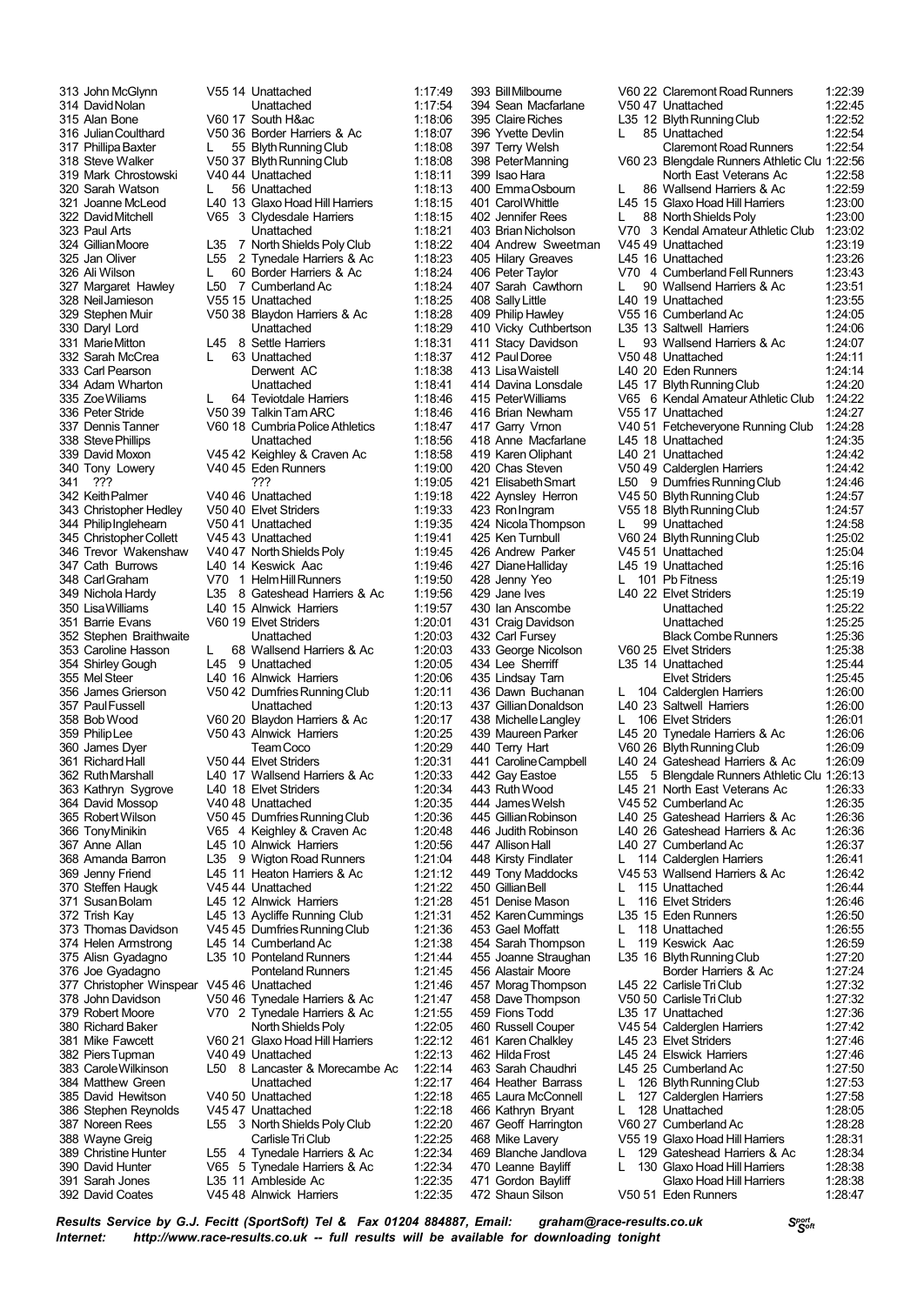315 Alan Bone V60 17 South H&ac<br>316 Julian Coulthard V50 36 Border Harris 319 Mark Chrostowski V40 44 Unattached<br>320 Sarah Watson 1 56 Unattached 343 Christopher Hedley 348 CarlGraham V70 1 Helm Hill Runners 352 Stephen Braithwaite 371 Susan Bolam L45 12 Alnwick Harriers 380 Richard Baker 385 David Hewitson V40 50 Unattached<br>386 Stephen Reynolds V45 47 Unattached 392 David Coates V45 48 Alnwick Harriers 1:22:35

 John McGlynn V55 14 Unattached 1:17:49 DavidNolan Unattached 1:17:54 JulianCoulthard V50 36 Border Harriers & Ac 1:18:07 317 Phillipa Baxter L 55 Blyth Running Club 1:18:08<br>318 Steve Walker V50 37 Blyth Running Club 1:18:08 V50 37 Blyth Running Club<br>1:18:08 V40 44 Unattached 1:18:11 320 Sarah Watson L 56 Unattached 1:18:13<br>321 Joanne Moleod L40 13 Glavo Hoad Hill Harriers 1:18:15 Joanne McLeod L40 13 Glaxo Hoad Hill Harriers 1:18:15 32:32 Clydesdale Harriers 1:18:15<br>1:18:21 1:18:21 Paul Arts Unattached 1:18:21 GillianMoore L35 7 NorthShields PolyClub 1:18:22 325 Jan Oliver L55 2 Tynedale Harriers & Ac<br>326 Ali Wilson L. 60 Border Harriers & Ac 23. 118:24 L50 Border Harriers & Ac 1:18:24<br>118:24 L50 7 Cumberland Ac 1:18:24 327 Margaret Hawley L50 7 Cumberland Ac 1:18:24<br>328 Neil Jamieson V55 15 Unattached 1:18:25 NeilJamieson V55 15 Unattached 1:18:25 Stephen Muir V50 38 Blaydon Harriers & Ac 1:18:28 Daryl Lord Unattached 1:18:29 8 Settle Harriers 1:18:31<br>63 Unattached 1:18:37 Sarah McCrea L 63 Unattached 1:18:37 Carl Pearson Derwent AC 1:18:38 334 Adam Wharton Unattached 1:18:41<br>335 Zoe Williams 1 64 Teviotdale Harriers 1:18:46 335 Zoe Wiliams L 64 Teviotdale Harriers 1:18:46<br>336 Peter Stride V50 39 Talkin Tam ARC 1:18:46 PeterStride V50 39 TalkinTarnARC 1:18:46 V60 18 Cumbria Police Athletics StevePhillips Unattached 1:18:56 David Moxon V45 42 Keighley & Craven Ac 1:18:58 Tony Lowery V40 45 Eden Runners 1:19:00 341 ??? ??? 1:19:05 KeithPalmer V40 46 Unattached 1:19:18 PhilipInglehearn V50 41 Unattached 1:19:35 ChristopherCollett V45 43 Unattached 1:19:41 346 Trevor Wakenshaw 1 V40 47 North Shields Poly 1:19:45<br>347 Cath Burrows 1.40 14 Keswick Aac 1:19:46 1.19:46 L40 14 Keswick Aac 1:19:46<br>1.19:50 1.1 Helm Hill Runners 1.19:50 Nichola Hardy L35 8 Gateshead Harriers & Ac 1:19:56 L40 15 Alnwick Harriers Barrie Evans V60 19 Elvet Striders 1:20:01 Caroline Hasson L 68 Wallsend Harriers & Ac 1:20:03 354 Shirley Gough L45 9 Unattached 1:20:05<br>355 Mel Steer L40 16 Alnwick Harriers 1:20:06 355 Mel Steer  $\frac{140}{16}$  16 Alnwick Harriers 1:20:06<br>356 James Grierson V50 42 Dumfries Running Club 1:20:11 V50 42 Dumfries Running Club PaulFussell Unattached 1:20:13 BobWood V60 20 Blaydon Harriers & Ac 1:20:17 PhilipLee V50 43 Alnwick Harriers 1:20:25 James Dyer TeamCoco 1:20:29 RichardHall V50 44 Elvet Striders 1:20:31 L40 17 Wallsend Harriers & Ac Kathryn Sygrove L40 18 Elvet Striders 1:20:34 David Mossop V40 48 Unattached 1:20:35 RobertWilson V50 45 DumfriesRunningClub 1:20:36 TonyMinikin V65 4 Keighley & Craven Ac 1:20:48 L45 10 Alnwick Harriers Amanda Barron L35 9 Wigton Road Runners 1:21:04 L45 11 Heaton Harriers & Ac 1:21:12 Steffen Haugk V45 44 Unattached 1:21:22 Trish Kay L45 13 Aycliffe Running Club 1:21:31 373 Thomas Davidson V45 45 Dumfries Running Club 1:21:36<br>374 Helen Armstrong L45 14 Cumberland Ac 1:21:38 L45 14 Cumberland Ac Alisn Gyadagno L35 10 Ponteland Runners 1:21:44 Joe Gyadagno Ponteland Runners 1:21:45 Christopher Winspear V45 46 Unattached 1:21:46 378 John Davidson V50 46 Tynedale Harriers & Ac 1:21:47<br>379 Robert Moore V70 2 Tynedale Harriers & Ac 1:21:55 V70 2 Tynedale Harriers & Ac 1:21:55<br>North Shields Poly 1:22:05 Mike Fawcett V60 21 Glaxo Hoad Hill Harriers 1:22:12 PiersTupman V40 49 Unattached 1:22:13 CaroleWilkinson L50 8 Lancaster & Morecambe Ac 1:22:14 Matthew Green Unattached 1:22:17 Stephen Reynolds V45 47 Unattached 1:22:18 Noreen Rees L55 3 NorthShields PolyClub 1:22:20 388 Wayne Greig Carlisle Tri Club 1:22:25<br>389 Christine Hunter L55 4 Tynedale Harriers & Ac 1:22:34 Christine Hunter L55 4 Tynedale Harriers & Ac 1:22:34 5 Tynedale Harriers & Ac Sarah Jones L35 11 Ambleside Ac 1:22:35

405 Hilary Greaves<br>406 Peter Taylor 430 Ian Anscombe 452 Karen Cummings 454 Sarah Thompson L 119 Keswick Aac

393 BillMilbourne V60 22 Claremont Road Runners 1:22:39 394 Sean Macfarlane V50 47 Unattached 1:22:45<br>395 Claire Riches 135 12 Blyth Running Club 1:22:52 395 ClaireRiches L35 12 BlythRunningClub 1:22:52 396 Yvette Devlin L 85 Unattached 1:22:54<br>397 Terry Welsh Claremont Road Runners 1:22:54 397 Terry Welsh Claremont Road Runners<br>398 Peter Manning Communishing V60 23 Blengdale Runners Athleti 398 PeterManning V60 23 Blengdale Runners Athletic Clu 1:22:56 399 Isao Hara North East Veterans Action Francisco Hara North East Veterans Action Francisco Hara North East Veterans Action 186 Wallsend Harriers & Action 1976 400 Emma Osbourn L 86 Wallsend Harriers & Ac 1:22:59<br>401 Carol Whittle Lubbar 15 Glavo Hoad Hill Harriers 1:23:00 401 CarolWhittle L45 15 Glaxo Hoad Hill Harriers 1:23:00 402 Jennifer Rees L 88 NorthShieldsPoly 1:23:00 V70 3 Kendal Amateur Athletic Club 1:23:02<br>V45 49 Unattached 1:23:19 404 Andrew Sweetman V45 49 Unattached 1:23:19 406 Peter Taylor V70 4 CumberlandFellRunners 1:23:43 407 Sarah Cawthorn L 90 Wallsend Harriers & Ac 1:23:51 408 Sally Little Latitude 1:23:55<br>409 Philip Hawley V55 16 Cumberland Ac 1:24:05 1:24:05 Philip Hamilton Computer V55 16 Cumberland Ac 1:24:06<br>1:24:06 1:24:06 410 Vicky Cuthbertson L35 13 Saltwell Harriers 1:24:06<br>411 Stacy Davidson L 93 Wallsend Harriers & Ac 1:24:07 411 Stacy Davidson L 93 Wallsend Harriers & Ac 1:24:07<br>412 Paul Doree V50 48 Unattached 1:24:11 412 PaulDoree V50 48 Unattached 1:24:11 413 LisaWaistell L40 20 Eden Runners 1:24:14 414 Davina Lonsdale L45 17 Blyth Running Club<br>415 Peter Williams V65 6 Kendal Amateur Atl 415 PeterWilliams V65 6 Kendal Amateur Athletic Club 1:24:22 116 Brian Newham V55 17 Unattached 1:24:27<br>417 Garry Vrnon V40 51 Fetcheveryone Running Club 1:24:28 V40 51 Fetcheveryone Running Club 418 Anne Macfarlane L45 18 Unattached 1:24:35 419 Karen Oliphant L40 21 Unattached 1:24:42 420 Chas Steven V50 49 Calderglen Harriers 1:24:42 421 ElisabethSmart L50 9 DumfriesRunningClub 1:24:46 422 Aynsley Herron V45 50 BlythRunningClub 1:24:57 V55 18 Blyth Running Club 1:24:57 424 Nicola Thompson L 99 Unattached 1:24:58 425 Ken Turnbull V60 24 Blyth Running Club 1:25:02 426 Andrew Parker V45 51 Unattached 1:25:04 L45 19 Unattached 428 Jenny Yeo L 101 Pb Fitness 1:25:19 429 Jane Ives L40 22 Elvet Striders 1:25:19 431 Craig Davidson **Unattached** 1:25:25 432 Carl Fursey Black Combe Runners 1:25:36<br>433 George Nicolson 1:06:025 Flyet Striders 1:25:38 433 George Nicolson V60 25 Elvet Striders 1:25:38 434 Lee Sherriff L35 14 Unattached 1:25:44 435 Lindsay Tarn Elvet Striders 1:25:45 436 Dawn Buchanan L 104 Calderglen Harriers<br>437 Gillian Donaldson L40 23 Saltwell Harriers L40 23 Saltwell Harriers 1:26:00 438 MichelleLangley L 106 Elvet Striders 1:26:01 439 Maureen Parker Letter 20 Tynedale Harriers & Ac 1:26:06<br>440 Terry Hart 1:26:09 V60 26 Blyth Running Club 440 Terry Hart V60 26 BlythRunningClub 1:26:09 441 Caroline Campbell L40 24 Gateshead Harriers & Ac 442 Gay Eastoe L55 5 Blengdale Runners Athletic L55 5 Blengdale Runners Athletic Clu 1:26:13 443 RuthWood L45 21 North East Veterans Ac 1:26:33 444 JamesWelsh V45 52 CumberlandAc 1:26:35 445 GillianRobinson L40 25 Gateshead Harriers & Ac 1:26:36 446 Judith Robinson L40 26 Gateshead Harriers & Ac 1:26:36 L40 27 Cumberland Ac 448 Kirsty Findlater L 114 Calderglen Harriers 1:26:41 449 Tony Maddocks V45 53 Wallsend Harriers & Ac 1:26:42 1:26:44 L 115 Unattached 1:26:44<br>
L 116 Elvet Striders 1:26:46 451 Denise Mason L 116 Elvet Striders 1:26:46<br>452 Karen Cummings L35 15 Eden Runners 1:26:50 453 Gael Moffatt L 118 Unattached 1:26:55 455 Joanne Straughan L35 16 BlythRunningClub 1:27:20 456 Alastair Moore Border Harriers & Ac 1:27:24 457 MoragThompson L45 22 CarlisleTriClub 1:27:32 458 DaveThompson V50 50 CarlisleTriClub 1:27:32 459 Fions Todd L35 17 Unattached 1:27:36 460 Russell Couper V45 54 Calderglen Harriers<br>461 Karen Chalkley L45 23 Elvet Striders 461 Karen Chalkley L45 23 Elvet Striders 1:27:46 L45 24 Elswick Harriers 463 Sarah Chaudhri L45 25 CumberlandAc 1:27:50 464 Heather Barrass L 126 Blyth Running Club 1:27:53<br>465 Laura McConnell L 127 Calderglen Harriers 1:27:58 L 127 Calderglen Harriers<br>1 128 Unattached 466 Kathryn Bryant L 128 Unattached 1:28:05 467 Geoff Harrington V60 27 Cumberland Ac 1:28:28 468 Mike Lavery **Canadia 1:28:31** V55 19 Glaxo Hoad Hill Harriers 1:28:31<br>469 Blanche Jandlova L 129 Gateshead Harriers & Ac 1:28:34 469 Blanche Jandlova L 129 Gateshead Harriers & Ac 1:28:34 L 130 Glaxo Hoad Hill Harriers 471 Gordon Bayliff Glaxo Hoad Hill Harriers 1:28:38 472 Shaun Silson V50 51 Eden Runners 1:28:47

*<sup>S</sup>port Results Service by G.J. Fecitt <sup>S</sup>oft (SportSoft) Tel & Fax <sup>01204</sup> 884887, Email: graham@race-results.co.uk Internet: http://www.race-results.co.uk -- full results will be available for downloading tonight*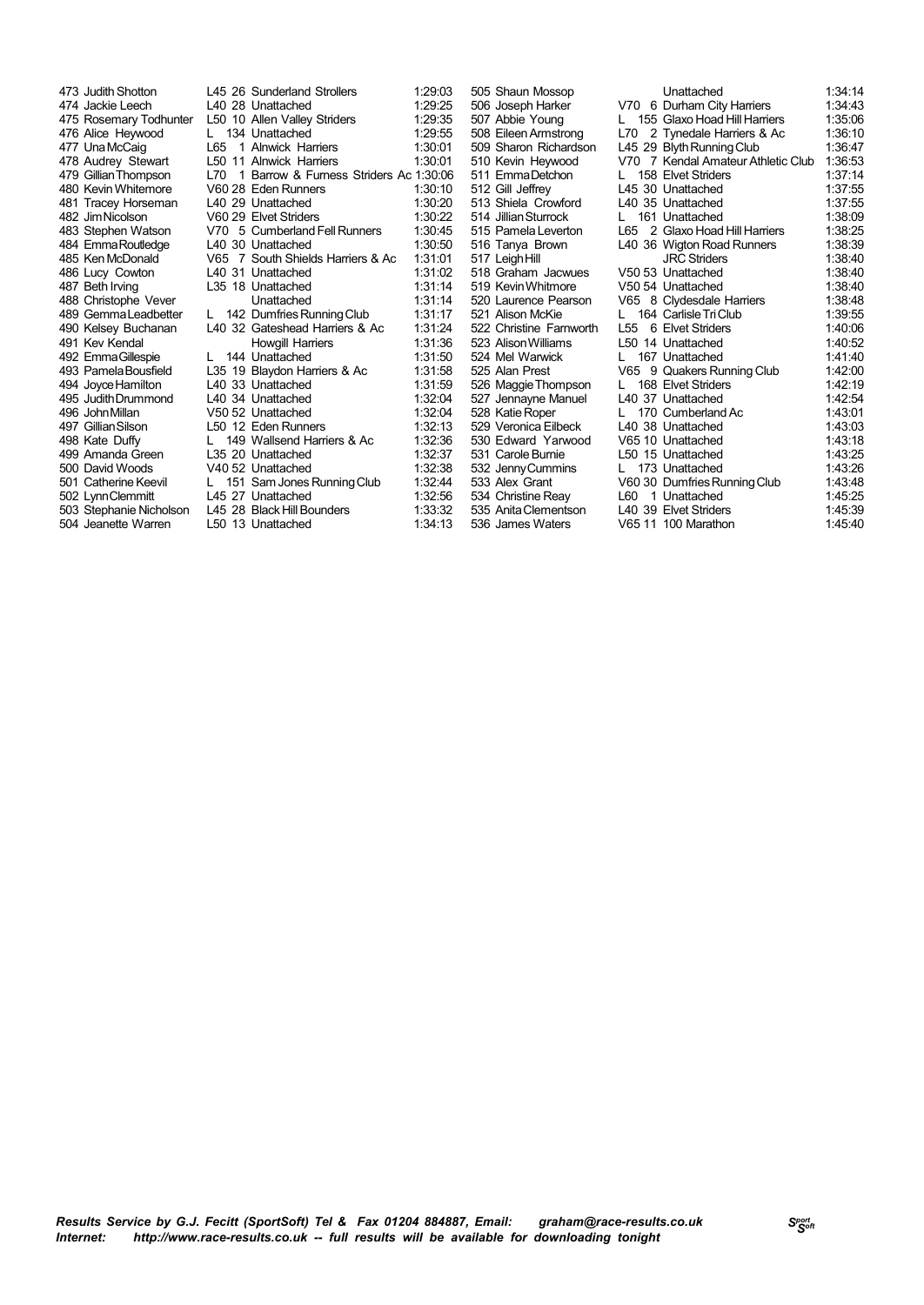| 473 Judith Shotton      |                 | L45 26 Sunderland Strollers            | 1:29:03 | 505 Shaun Mossop        |     | Unattached                         | 1:34:14 |
|-------------------------|-----------------|----------------------------------------|---------|-------------------------|-----|------------------------------------|---------|
| 474 Jackie Leech        |                 | L40 28 Unattached                      | 1:29:25 | 506 Joseph Harker       |     | V70 6 Durham City Harriers         | 1:34:43 |
| 475 Rosemary Todhunter  |                 | L50 10 Allen Valley Striders           | 1:29:35 | 507 Abbie Young         |     | 155 Glaxo Hoad Hill Harriers       | 1:35:06 |
| 476 Alice Heywood       |                 | 134 Unattached                         | 1:29:55 | 508 Eileen Armstrong    | L70 | 2 Tynedale Harriers & Ac           | 1:36:10 |
| 477 Una McCaig          | L65<br>1        | <b>Alnwick Harriers</b>                | 1:30:01 | 509 Sharon Richardson   |     | L45 29 Blyth Running Club          | 1:36:47 |
| 478 Audrey Stewart      | L <sub>50</sub> | 11 Alnwick Harriers                    | 1:30:01 | 510 Kevin Heywood       |     | V70 7 Kendal Amateur Athletic Club | 1:36:53 |
| 479 Gillian Thompson    | 170             | 1 Barrow & Furness Striders Ac 1:30:06 |         | 511 EmmaDetchon         |     | 158 Elvet Striders                 | 1:37:14 |
| 480 Kevin Whitemore     |                 | V60 28 Eden Runners                    | 1:30:10 | 512 Gill Jeffrey        |     | L45 30 Unattached                  | 1:37:55 |
| 481 Tracey Horseman     |                 | L40 29 Unattached                      | 1:30:20 | 513 Shiela Crowford     |     | L40 35 Unattached                  | 1:37:55 |
| 482 Jim Nicolson        |                 | V60 29 Elvet Striders                  | 1:30:22 | 514 Jillian Sturrock    |     | 161 Unattached                     | 1:38:09 |
| 483 Stephen Watson      | V70.            | 5 Cumberland Fell Runners              | 1:30:45 | 515 Pamela Leverton     | L65 | 2 Glaxo Hoad Hill Harriers         | 1:38:25 |
| 484 EmmaRoutledge       |                 | L40 30 Unattached                      | 1:30:50 | 516 Tanya Brown         |     | L40 36 Wigton Road Runners         | 1:38:39 |
| 485 Ken McDonald        | V65             | 7 South Shields Harriers & Ac          | 1:31:01 | 517 Leigh Hill          |     | <b>JRC Striders</b>                | 1:38:40 |
| 486 Lucy Cowton         |                 | L40 31 Unattached                      | 1:31:02 | 518 Graham Jacwues      |     | V50 53 Unattached                  | 1:38:40 |
| 487 Beth Irving         |                 | L35 18 Unattached                      | 1:31:14 | 519 Kevin Whitmore      |     | V50 54 Unattached                  | 1:38:40 |
| 488 Christophe Vever    |                 | Unattached                             | 1:31:14 | 520 Laurence Pearson    |     | V65 8 Clydesdale Harriers          | 1:38:48 |
| 489 Gemma Leadbetter    |                 | 142 Dumfries Running Club              | 1:31:17 | 521 Alison McKie        |     | 164 Carlisle Tri Club              | 1:39:55 |
| 490 Kelsey Buchanan     |                 | L40 32 Gateshead Harriers & Ac         | 1:31:24 | 522 Christine Farnworth | L55 | 6 Elvet Striders                   | 1:40:06 |
| 491 Kev Kendal          |                 | Howgill Harriers                       | 1:31:36 | 523 Alison Williams     |     | L50 14 Unattached                  | 1:40:52 |
| 492 Emma Gillespie      |                 | 144 Unattached                         | 1:31:50 | 524 Mel Warwick         |     | 167 Unattached                     | 1:41:40 |
| 493 Pamela Bousfield    |                 | L35 19 Blaydon Harriers & Ac           | 1:31:58 | 525 Alan Prest          |     | V65 9 Quakers Running Club         | 1:42:00 |
| 494 Joyce Hamilton      |                 | L40 33 Unattached                      | 1:31:59 | 526 Maggie Thompson     |     | 168 Elvet Striders                 | 1:42:19 |
| 495 Judith Drummond     |                 | L40 34 Unattached                      | 1:32:04 | 527 Jennayne Manuel     |     | L40 37 Unattached                  | 1:42:54 |
| 496 John Millan         |                 | V50 52 Unattached                      | 1:32:04 | 528 Katie Roper         |     | 170 Cumberland Ac                  | 1:43:01 |
| 497 Gillian Silson      |                 | L50 12 Eden Runners                    | 1:32:13 | 529 Veronica Eilbeck    |     | L40 38 Unattached                  | 1:43:03 |
| 498 Kate Duffy          |                 | 149 Wallsend Harriers & Ac             | 1:32:36 | 530 Edward Yarwood      |     | V65 10 Unattached                  | 1:43:18 |
| 499 Amanda Green        |                 | L35 20 Unattached                      | 1:32:37 | 531 Carole Burnie       |     | L50 15 Unattached                  | 1:43:25 |
| 500 David Woods         |                 | V40 52 Unattached                      | 1:32:38 | 532 Jenny Cummins       |     | 173 Unattached                     | 1:43:26 |
| 501 Catherine Keevil    |                 | 151 Sam Jones Running Club             | 1:32:44 | 533 Alex Grant          |     | V60 30 Dumfries Running Club       | 1:43:48 |
| 502 LynnClemmitt        |                 | L45 27 Unattached                      | 1:32:56 | 534 Christine Reay      | L60 | 1 Unattached                       | 1:45:25 |
| 503 Stephanie Nicholson |                 | L45 28 Black Hill Bounders             | 1:33:32 | 535 Anita Clementson    |     | L40 39 Elvet Striders              | 1:45:39 |
| 504 Jeanette Warren     |                 | L50 13 Unattached                      | 1:34:13 | 536 James Waters        |     | V65 11 100 Marathon                | 1:45:40 |